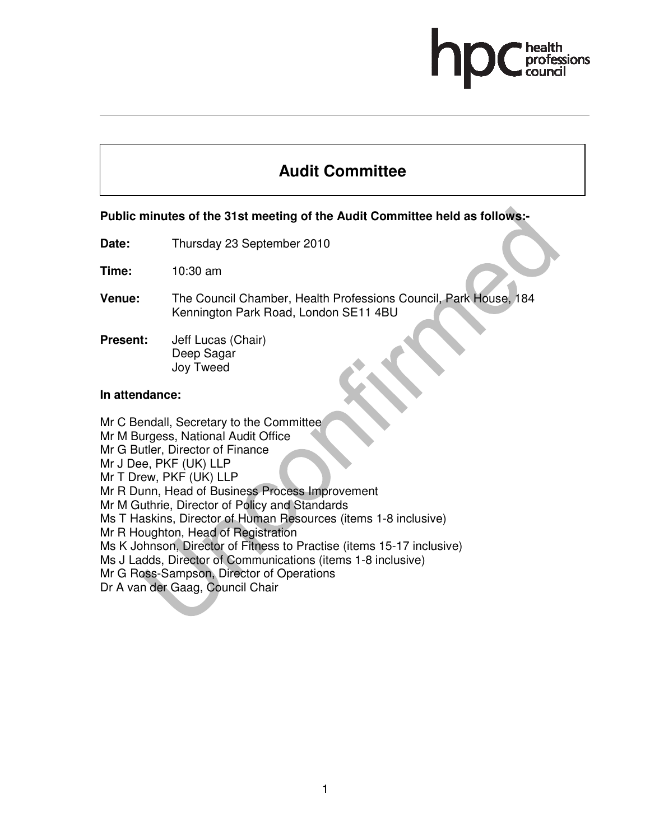# **Audit Committee**

# **Public minutes of the 31st meeting of the Audit Committee held as follows:-**

**Date:** Thursday 23 September 2010

**Time:** 10:30 am

- **Venue:** The Council Chamber, Health Professions Council, Park House, 184 Kennington Park Road, London SE11 4BU
- **Present:** Jeff Lucas (Chair) Deep Sagar Joy Tweed

# **In attendance:**

Mr C Bendall, Secretary to the Committee Mr M Burgess, National Audit Office Mr G Butler, Director of Finance Mr J Dee, PKF (UK) LLP Mr T Drew, PKF (UK) LLP Mr R Dunn, Head of Business Process Improvement Mr M Guthrie, Director of Policy and Standards Ms T Haskins, Director of Human Resources (items 1-8 inclusive) Mr R Houghton, Head of Registration Ms K Johnson, Director of Fitness to Practise (items 15-17 inclusive) Ms J Ladds, Director of Communications (items 1-8 inclusive) Mr G Ross-Sampson, Director of Operations Dr A van der Gaag, Council Chair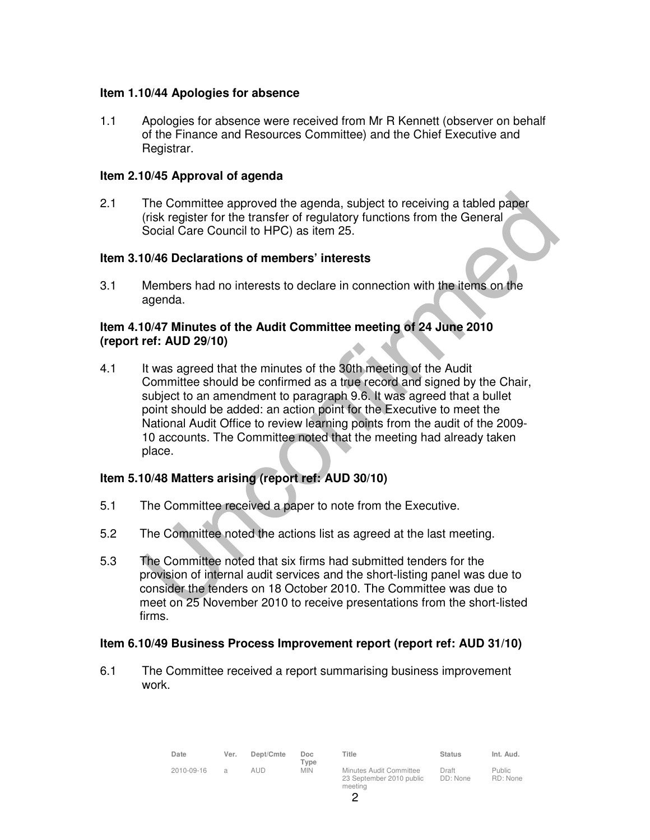# **Item 1.10/44 Apologies for absence**

1.1 Apologies for absence were received from Mr R Kennett (observer on behalf of the Finance and Resources Committee) and the Chief Executive and Registrar.

# **Item 2.10/45 Approval of agenda**

2.1 The Committee approved the agenda, subject to receiving a tabled paper (risk register for the transfer of regulatory functions from the General Social Care Council to HPC) as item 25.

# **Item 3.10/46 Declarations of members' interests**

3.1 Members had no interests to declare in connection with the items on the agenda.

# **Item 4.10/47 Minutes of the Audit Committee meeting of 24 June 2010 (report ref: AUD 29/10)**

4.1 It was agreed that the minutes of the 30th meeting of the Audit Committee should be confirmed as a true record and signed by the Chair, subject to an amendment to paragraph 9.6. It was agreed that a bullet point should be added: an action point for the Executive to meet the National Audit Office to review learning points from the audit of the 2009- 10 accounts. The Committee noted that the meeting had already taken place.

# **Item 5.10/48 Matters arising (report ref: AUD 30/10)**

- 5.1 The Committee received a paper to note from the Executive.
- 5.2 The Committee noted the actions list as agreed at the last meeting.
- 5.3 The Committee noted that six firms had submitted tenders for the provision of internal audit services and the short-listing panel was due to consider the tenders on 18 October 2010. The Committee was due to meet on 25 November 2010 to receive presentations from the short-listed firms.

#### **Item 6.10/49 Business Process Improvement report (report ref: AUD 31/10)**

6.1 The Committee received a report summarising business improvement work.

| Date       | Ver. | Dept/Cmte | Doc<br>Type | Title                                                          | <b>Status</b>     | Int. Aud.          |
|------------|------|-----------|-------------|----------------------------------------------------------------|-------------------|--------------------|
| 2010-09-16 | a    | aud       | <b>MIN</b>  | Minutes Audit Committee<br>23 September 2010 public<br>meeting | Draft<br>DD: None | Public<br>RD: None |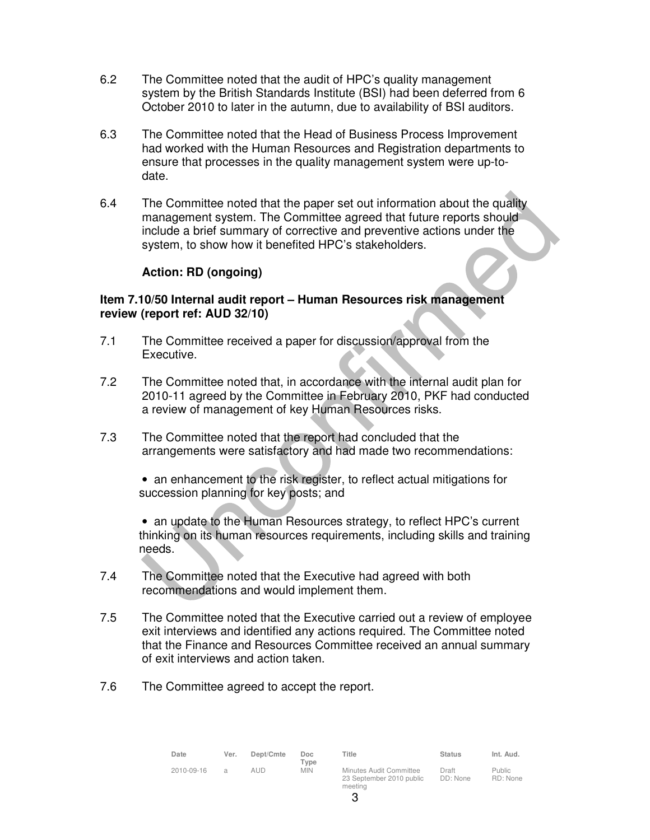- 6.2 The Committee noted that the audit of HPC's quality management system by the British Standards Institute (BSI) had been deferred from 6 October 2010 to later in the autumn, due to availability of BSI auditors.
- 6.3 The Committee noted that the Head of Business Process Improvement had worked with the Human Resources and Registration departments to ensure that processes in the quality management system were up-todate.
- 6.4 The Committee noted that the paper set out information about the quality management system. The Committee agreed that future reports should include a brief summary of corrective and preventive actions under the system, to show how it benefited HPC's stakeholders.

# **Action: RD (ongoing)**

# **Item 7.10/50 Internal audit report – Human Resources risk management review (report ref: AUD 32/10)**

- 7.1 The Committee received a paper for discussion/approval from the Executive.
- 7.2 The Committee noted that, in accordance with the internal audit plan for 2010-11 agreed by the Committee in February 2010, PKF had conducted a review of management of key Human Resources risks.
- 7.3 The Committee noted that the report had concluded that the arrangements were satisfactory and had made two recommendations:
	- an enhancement to the risk register, to reflect actual mitigations for succession planning for key posts; and

• an update to the Human Resources strategy, to reflect HPC's current thinking on its human resources requirements, including skills and training needs.

- 7.4 The Committee noted that the Executive had agreed with both recommendations and would implement them.
- 7.5 The Committee noted that the Executive carried out a review of employee exit interviews and identified any actions required. The Committee noted that the Finance and Resources Committee received an annual summary of exit interviews and action taken.
- 7.6 The Committee agreed to accept the report.

| Date       | Ver.          | Dept/Cmte | Doc<br>Type | Title                                                          | <b>Status</b>     | Int. Aud.                 |
|------------|---------------|-----------|-------------|----------------------------------------------------------------|-------------------|---------------------------|
| 2010-09-16 | $\mathcal{A}$ | aud       | <b>MIN</b>  | Minutes Audit Committee<br>23 September 2010 public<br>meeting | Draft<br>DD: None | <b>Public</b><br>RD: None |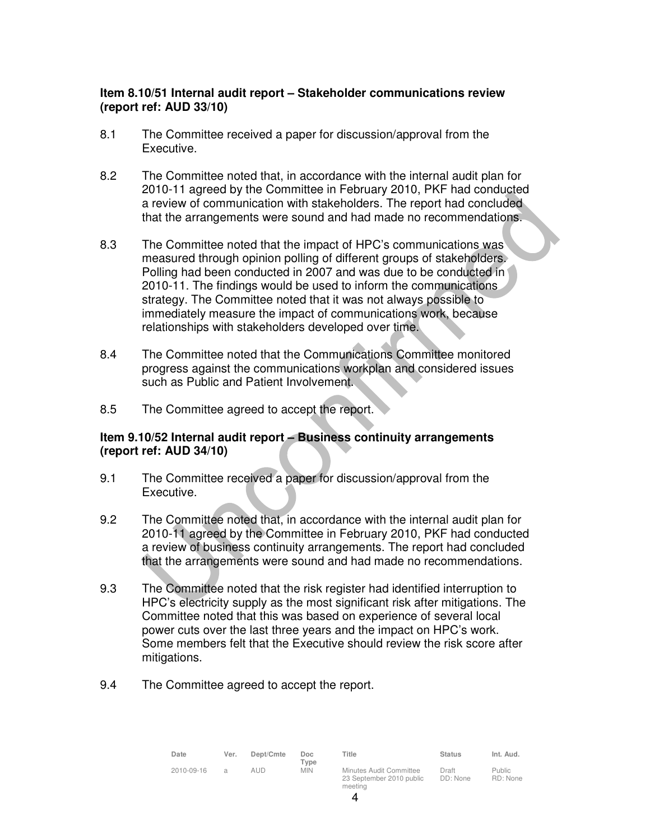# **Item 8.10/51 Internal audit report – Stakeholder communications review (report ref: AUD 33/10)**

- 8.1 The Committee received a paper for discussion/approval from the Executive.
- 8.2 The Committee noted that, in accordance with the internal audit plan for 2010-11 agreed by the Committee in February 2010, PKF had conducted a review of communication with stakeholders. The report had concluded that the arrangements were sound and had made no recommendations.
- 8.3 The Committee noted that the impact of HPC's communications was measured through opinion polling of different groups of stakeholders. Polling had been conducted in 2007 and was due to be conducted in 2010-11. The findings would be used to inform the communications strategy. The Committee noted that it was not always possible to immediately measure the impact of communications work, because relationships with stakeholders developed over time.
- 8.4 The Committee noted that the Communications Committee monitored progress against the communications workplan and considered issues such as Public and Patient Involvement.
- 8.5 The Committee agreed to accept the report.

# **Item 9.10/52 Internal audit report – Business continuity arrangements (report ref: AUD 34/10)**

- 9.1 The Committee received a paper for discussion/approval from the Executive.
- 9.2 The Committee noted that, in accordance with the internal audit plan for 2010-11 agreed by the Committee in February 2010, PKF had conducted a review of business continuity arrangements. The report had concluded that the arrangements were sound and had made no recommendations.
- 9.3 The Committee noted that the risk register had identified interruption to HPC's electricity supply as the most significant risk after mitigations. The Committee noted that this was based on experience of several local power cuts over the last three years and the impact on HPC's work. Some members felt that the Executive should review the risk score after mitigations.
- 9.4 The Committee agreed to accept the report.

| Date       | Ver.           | Dept/Cmte | Doc<br>$T$ vpe | Title                                                          | <b>Status</b>     | Int. Aud.                 |
|------------|----------------|-----------|----------------|----------------------------------------------------------------|-------------------|---------------------------|
| 2010-09-16 | $\overline{a}$ | aud       | <b>MIN</b>     | Minutes Audit Committee<br>23 September 2010 public<br>meeting | Draft<br>DD: None | <b>Public</b><br>RD: None |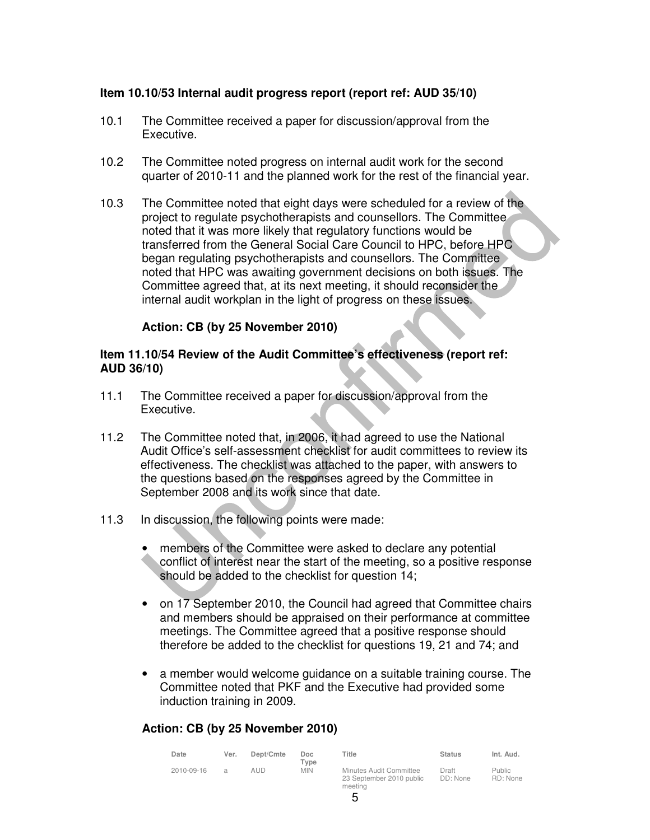# **Item 10.10/53 Internal audit progress report (report ref: AUD 35/10)**

- 10.1 The Committee received a paper for discussion/approval from the Executive.
- 10.2 The Committee noted progress on internal audit work for the second quarter of 2010-11 and the planned work for the rest of the financial year.
- 10.3 The Committee noted that eight days were scheduled for a review of the project to regulate psychotherapists and counsellors. The Committee noted that it was more likely that regulatory functions would be transferred from the General Social Care Council to HPC, before HPC began regulating psychotherapists and counsellors. The Committee noted that HPC was awaiting government decisions on both issues. The Committee agreed that, at its next meeting, it should reconsider the internal audit workplan in the light of progress on these issues.

# **Action: CB (by 25 November 2010)**

#### **Item 11.10/54 Review of the Audit Committee's effectiveness (report ref: AUD 36/10)**

- 11.1 The Committee received a paper for discussion/approval from the Executive.
- 11.2 The Committee noted that, in 2006, it had agreed to use the National Audit Office's self-assessment checklist for audit committees to review its effectiveness. The checklist was attached to the paper, with answers to the questions based on the responses agreed by the Committee in September 2008 and its work since that date.
- 11.3 In discussion, the following points were made:
	- members of the Committee were asked to declare any potential conflict of interest near the start of the meeting, so a positive response should be added to the checklist for question 14;
	- on 17 September 2010, the Council had agreed that Committee chairs and members should be appraised on their performance at committee meetings. The Committee agreed that a positive response should therefore be added to the checklist for questions 19, 21 and 74; and
	- a member would welcome guidance on a suitable training course. The Committee noted that PKF and the Executive had provided some induction training in 2009.

# **Action: CB (by 25 November 2010)**

| Date       | Ver.          | Dept/Cmte | Doc.<br>Type | Title                                                          | <b>Status</b>     | Int. Aud.                 |
|------------|---------------|-----------|--------------|----------------------------------------------------------------|-------------------|---------------------------|
| 2010-09-16 | $\mathcal{A}$ | AI ID.    | <b>MIN</b>   | Minutes Audit Committee<br>23 September 2010 public<br>meeting | Draft<br>DD: None | <b>Public</b><br>RD: None |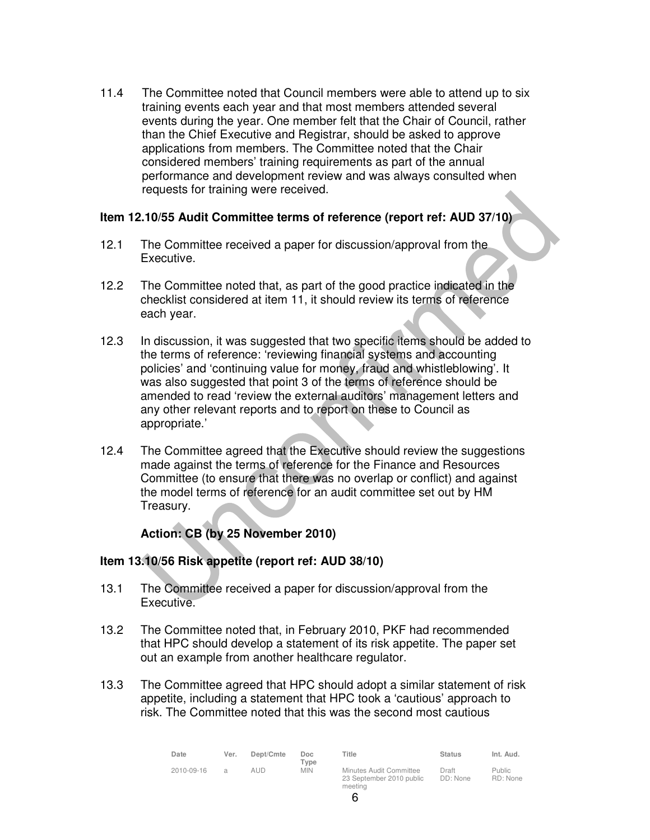11.4 The Committee noted that Council members were able to attend up to six training events each year and that most members attended several events during the year. One member felt that the Chair of Council, rather than the Chief Executive and Registrar, should be asked to approve applications from members. The Committee noted that the Chair considered members' training requirements as part of the annual performance and development review and was always consulted when requests for training were received.

# **Item 12.10/55 Audit Committee terms of reference (report ref: AUD 37/10)**

- 12.1 The Committee received a paper for discussion/approval from the Executive.
- 12.2 The Committee noted that, as part of the good practice indicated in the checklist considered at item 11, it should review its terms of reference each year.
- 12.3 In discussion, it was suggested that two specific items should be added to the terms of reference: 'reviewing financial systems and accounting policies' and 'continuing value for money, fraud and whistleblowing'. It was also suggested that point 3 of the terms of reference should be amended to read 'review the external auditors' management letters and any other relevant reports and to report on these to Council as appropriate.'
- 12.4 The Committee agreed that the Executive should review the suggestions made against the terms of reference for the Finance and Resources Committee (to ensure that there was no overlap or conflict) and against the model terms of reference for an audit committee set out by HM Treasury.

# **Action: CB (by 25 November 2010)**

# **Item 13.10/56 Risk appetite (report ref: AUD 38/10)**

- 13.1 The Committee received a paper for discussion/approval from the Executive.
- 13.2 The Committee noted that, in February 2010, PKF had recommended that HPC should develop a statement of its risk appetite. The paper set out an example from another healthcare regulator.
- 13.3 The Committee agreed that HPC should adopt a similar statement of risk appetite, including a statement that HPC took a 'cautious' approach to risk. The Committee noted that this was the second most cautious

| Date       | Ver.          | Dept/Cmte | Doc.<br>$T$ vpe | Title                                                          | <b>Status</b>     | Int. Aud.                 |
|------------|---------------|-----------|-----------------|----------------------------------------------------------------|-------------------|---------------------------|
| 2010-09-16 | $\mathcal{A}$ | aud       | <b>MIN</b>      | Minutes Audit Committee<br>23 September 2010 public<br>meeting | Draft<br>DD: None | <b>Public</b><br>RD: None |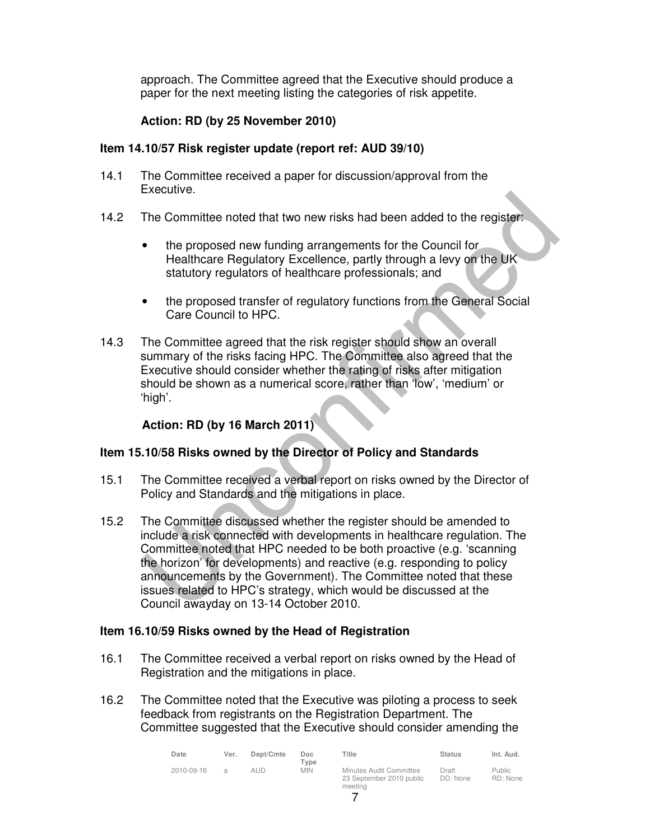approach. The Committee agreed that the Executive should produce a paper for the next meeting listing the categories of risk appetite.

# **Action: RD (by 25 November 2010)**

# **Item 14.10/57 Risk register update (report ref: AUD 39/10)**

- 14.1 The Committee received a paper for discussion/approval from the Executive.
- 14.2 The Committee noted that two new risks had been added to the register:
	- the proposed new funding arrangements for the Council for Healthcare Regulatory Excellence, partly through a levy on the UK statutory regulators of healthcare professionals; and
	- the proposed transfer of regulatory functions from the General Social Care Council to HPC.
- 14.3 The Committee agreed that the risk register should show an overall summary of the risks facing HPC. The Committee also agreed that the Executive should consider whether the rating of risks after mitigation should be shown as a numerical score, rather than 'low', 'medium' or 'high'.

# **Action: RD (by 16 March 2011)**

# **Item 15.10/58 Risks owned by the Director of Policy and Standards**

- 15.1 The Committee received a verbal report on risks owned by the Director of Policy and Standards and the mitigations in place.
- 15.2 The Committee discussed whether the register should be amended to include a risk connected with developments in healthcare regulation. The Committee noted that HPC needed to be both proactive (e.g. 'scanning the horizon' for developments) and reactive (e.g. responding to policy announcements by the Government). The Committee noted that these issues related to HPC's strategy, which would be discussed at the Council awayday on 13-14 October 2010.

# **Item 16.10/59 Risks owned by the Head of Registration**

- 16.1 The Committee received a verbal report on risks owned by the Head of Registration and the mitigations in place.
- 16.2 The Committee noted that the Executive was piloting a process to seek feedback from registrants on the Registration Department. The Committee suggested that the Executive should consider amending the

| Date       | Ver.          | Dept/Cmte | Doc<br>Type | Title                                                          | <b>Status</b>     | Int. Aud.                 |
|------------|---------------|-----------|-------------|----------------------------------------------------------------|-------------------|---------------------------|
| 2010-09-16 | $\mathcal{A}$ | aud       | <b>MIN</b>  | Minutes Audit Committee<br>23 September 2010 public<br>meetina | Draft<br>DD: None | <b>Public</b><br>RD: None |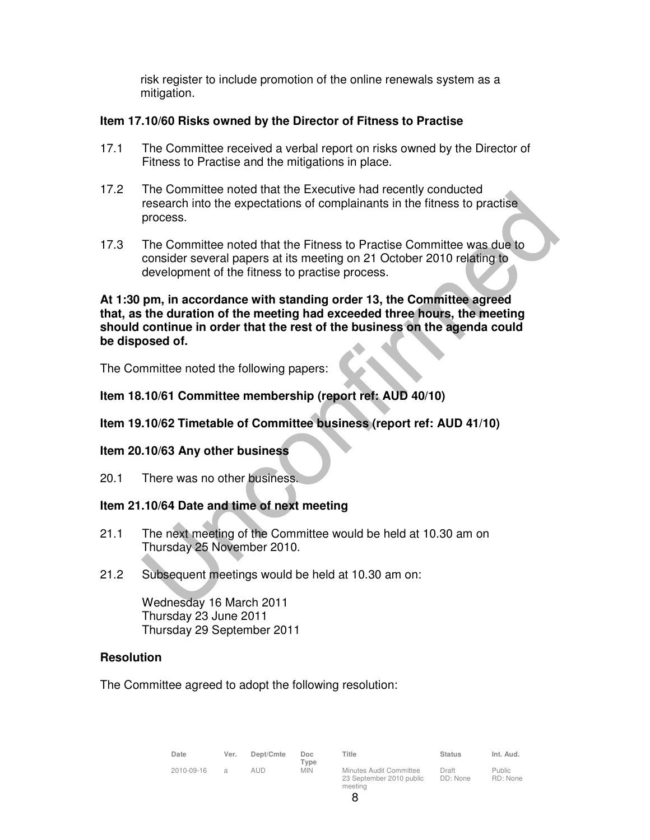risk register to include promotion of the online renewals system as a mitigation.

# **Item 17.10/60 Risks owned by the Director of Fitness to Practise**

- 17.1 The Committee received a verbal report on risks owned by the Director of Fitness to Practise and the mitigations in place.
- 17.2 The Committee noted that the Executive had recently conducted research into the expectations of complainants in the fitness to practise process.
- 17.3 The Committee noted that the Fitness to Practise Committee was due to consider several papers at its meeting on 21 October 2010 relating to development of the fitness to practise process.

# **At 1:30 pm, in accordance with standing order 13, the Committee agreed that, as the duration of the meeting had exceeded three hours, the meeting should continue in order that the rest of the business on the agenda could be disposed of.**

The Committee noted the following papers:

# **Item 18.10/61 Committee membership (report ref: AUD 40/10)**

# **Item 19.10/62 Timetable of Committee business (report ref: AUD 41/10)**

# **Item 20.10/63 Any other business**

20.1 There was no other business.

# **Item 21.10/64 Date and time of next meeting**

- 21.1 The next meeting of the Committee would be held at 10.30 am on Thursday 25 November 2010.
- 21.2 Subsequent meetings would be held at 10.30 am on:

Wednesday 16 March 2011 Thursday 23 June 2011 Thursday 29 September 2011

# **Resolution**

The Committee agreed to adopt the following resolution:

| Date       | Ver.          | Dept/Cmte | Doc<br>Type | Title                                                          | <b>Status</b>     | Int. Aud.          |
|------------|---------------|-----------|-------------|----------------------------------------------------------------|-------------------|--------------------|
| 2010-09-16 | $\mathcal{L}$ | AUD       | <b>MIN</b>  | Minutes Audit Committee<br>23 September 2010 public<br>meeting | Draft<br>DD: None | Public<br>RD: None |